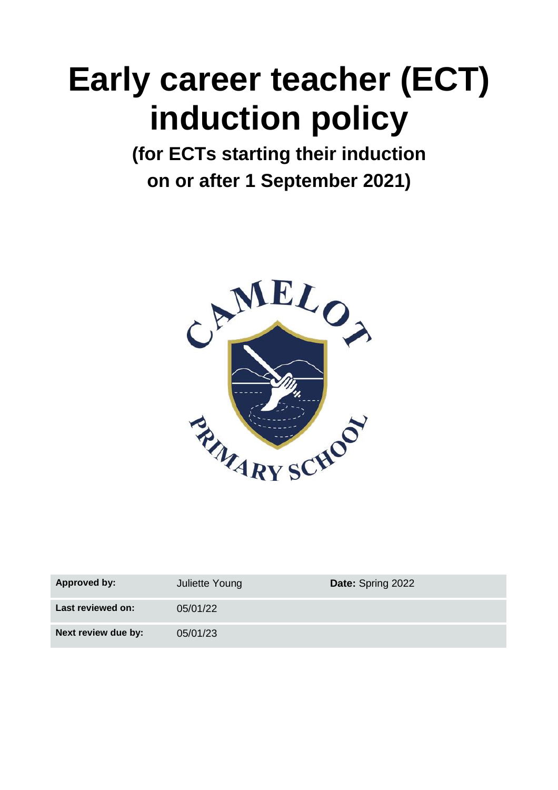# **Early career teacher (ECT) induction policy**

**(for ECTs starting their induction on or after 1 September 2021)**



| Approved by:        | Juliette Young | <b>Date: Spring 2022</b> |
|---------------------|----------------|--------------------------|
| Last reviewed on:   | 05/01/22       |                          |
| Next review due by: | 05/01/23       |                          |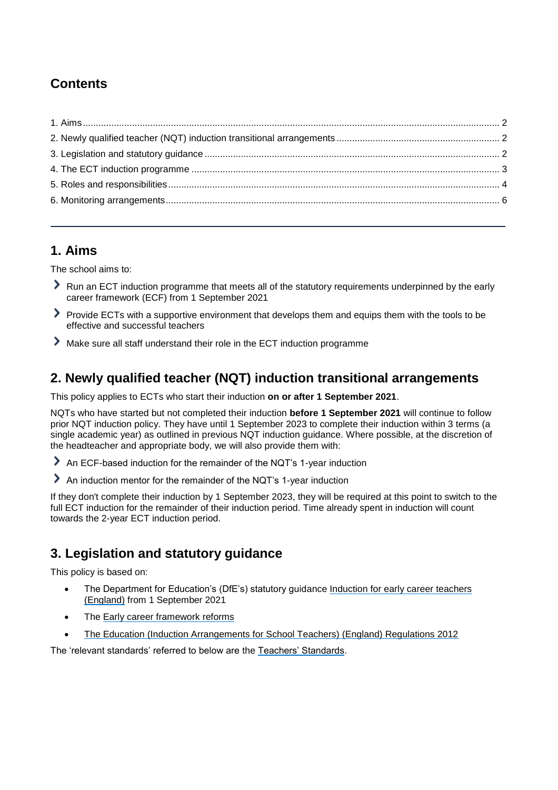# **Contents**

## <span id="page-1-0"></span>**1. Aims**

The school aims to:

- Run an ECT induction programme that meets all of the statutory requirements underpinned by the early career framework (ECF) from 1 September 2021
- Provide ECTs with a supportive environment that develops them and equips them with the tools to be effective and successful teachers
- Make sure all staff understand their role in the ECT induction programme

## <span id="page-1-1"></span>**2. Newly qualified teacher (NQT) induction transitional arrangements**

This policy applies to ECTs who start their induction **on or after 1 September 2021**.

NQTs who have started but not completed their induction **before 1 September 2021** will continue to follow prior NQT induction policy. They have until 1 September 2023 to complete their induction within 3 terms (a single academic year) as outlined in previous NQT induction guidance. Where possible, at the discretion of the headteacher and appropriate body, we will also provide them with:

- An ECF-based induction for the remainder of the NQT's 1-year induction
- An induction mentor for the remainder of the NQT's 1-year induction

If they don't complete their induction by 1 September 2023, they will be required at this point to switch to the full ECT induction for the remainder of their induction period. Time already spent in induction will count towards the 2-year ECT induction period.

# <span id="page-1-2"></span>**3. Legislation and statutory guidance**

This policy is based on:

- The Department for Education's (DfE's) statutory guidance Induction for early career teachers [\(England\)](https://www.gov.uk/government/publications/induction-for-early-career-teachers-england) from 1 September 2021
- The [Early career framework reforms](https://www.gov.uk/government/collections/early-career-framework-reforms)
- [The Education \(Induction Arrangements for School Teachers\) \(England\) Regulations 2012](http://www.legislation.gov.uk/uksi/2012/1115/contents/made)

<span id="page-1-3"></span>The 'relevant standards' referred to below are the [Teachers' Standards.](https://www.gov.uk/government/publications/teachers-standards)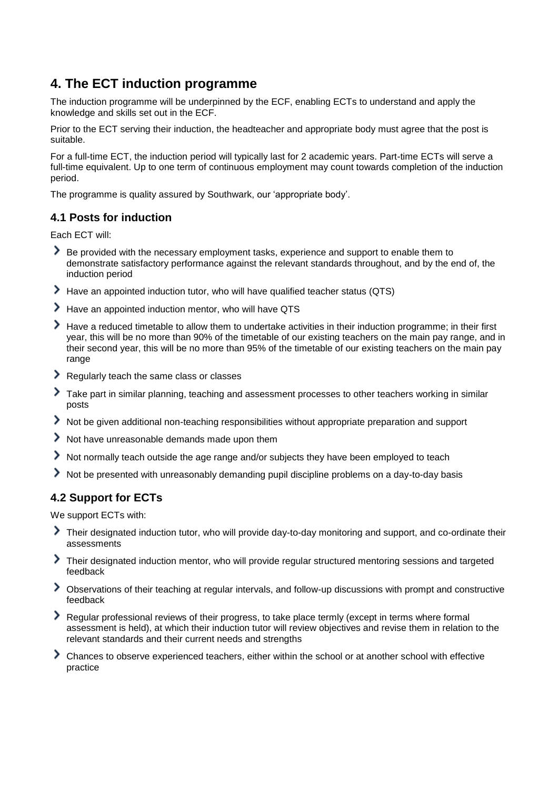## **4. The ECT induction programme**

The induction programme will be underpinned by the ECF, enabling ECTs to understand and apply the knowledge and skills set out in the ECF.

Prior to the ECT serving their induction, the headteacher and appropriate body must agree that the post is suitable.

For a full-time ECT, the induction period will typically last for 2 academic years. Part-time ECTs will serve a full-time equivalent. Up to one term of continuous employment may count towards completion of the induction period.

The programme is quality assured by Southwark, our 'appropriate body'.

#### **4.1 Posts for induction**

Each ECT will:

- Be provided with the necessary employment tasks, experience and support to enable them to demonstrate satisfactory performance against the relevant standards throughout, and by the end of, the induction period
- Have an appointed induction tutor, who will have qualified teacher status (QTS)
- > Have an appointed induction mentor, who will have QTS
- Have a reduced timetable to allow them to undertake activities in their induction programme; in their first year, this will be no more than 90% of the timetable of our existing teachers on the main pay range, and in their second year, this will be no more than 95% of the timetable of our existing teachers on the main pay range
- Regularly teach the same class or classes
- Take part in similar planning, teaching and assessment processes to other teachers working in similar posts
- Not be given additional non-teaching responsibilities without appropriate preparation and support
- Not have unreasonable demands made upon them
- Not normally teach outside the age range and/or subjects they have been employed to teach
- Not be presented with unreasonably demanding pupil discipline problems on a day-to-day basis

#### **4.2 Support for ECTs**

We support ECTs with:

- Their designated induction tutor, who will provide day-to-day monitoring and support, and co-ordinate their assessments
- Their designated induction mentor, who will provide regular structured mentoring sessions and targeted feedback
- Observations of their teaching at regular intervals, and follow-up discussions with prompt and constructive feedback
- Regular professional reviews of their progress, to take place termly (except in terms where formal assessment is held), at which their induction tutor will review objectives and revise them in relation to the relevant standards and their current needs and strengths
- Chances to observe experienced teachers, either within the school or at another school with effective practice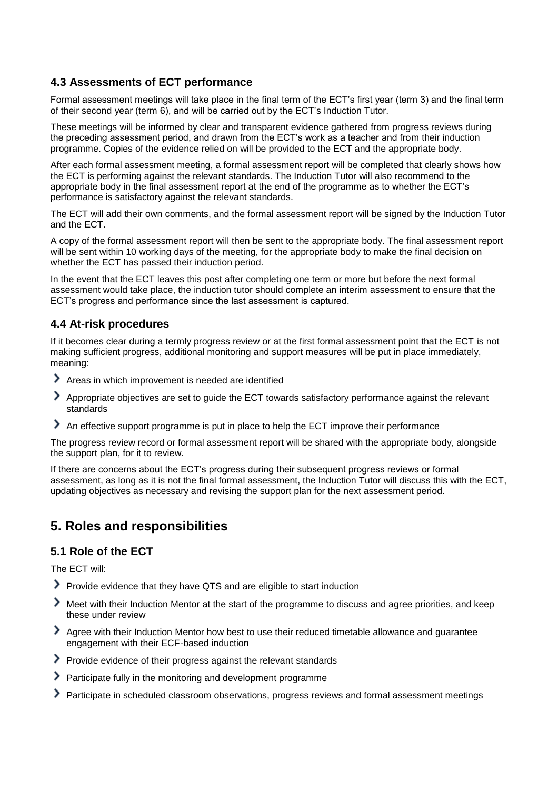#### **4.3 Assessments of ECT performance**

Formal assessment meetings will take place in the final term of the ECT's first year (term 3) and the final term of their second year (term 6), and will be carried out by the ECT's Induction Tutor.

These meetings will be informed by clear and transparent evidence gathered from progress reviews during the preceding assessment period, and drawn from the ECT's work as a teacher and from their induction programme. Copies of the evidence relied on will be provided to the ECT and the appropriate body.

After each formal assessment meeting, a formal assessment report will be completed that clearly shows how the ECT is performing against the relevant standards. The Induction Tutor will also recommend to the appropriate body in the final assessment report at the end of the programme as to whether the ECT's performance is satisfactory against the relevant standards.

The ECT will add their own comments, and the formal assessment report will be signed by the Induction Tutor and the ECT.

A copy of the formal assessment report will then be sent to the appropriate body. The final assessment report will be sent within 10 working days of the meeting, for the appropriate body to make the final decision on whether the ECT has passed their induction period.

In the event that the ECT leaves this post after completing one term or more but before the next formal assessment would take place, the induction tutor should complete an interim assessment to ensure that the ECT's progress and performance since the last assessment is captured.

#### **4.4 At-risk procedures**

If it becomes clear during a termly progress review or at the first formal assessment point that the ECT is not making sufficient progress, additional monitoring and support measures will be put in place immediately, meaning:

- Areas in which improvement is needed are identified
- Appropriate objectives are set to guide the ECT towards satisfactory performance against the relevant standards
- An effective support programme is put in place to help the ECT improve their performance

The progress review record or formal assessment report will be shared with the appropriate body, alongside the support plan, for it to review.

If there are concerns about the ECT's progress during their subsequent progress reviews or formal assessment, as long as it is not the final formal assessment, the Induction Tutor will discuss this with the ECT, updating objectives as necessary and revising the support plan for the next assessment period.

## <span id="page-3-0"></span>**5. Roles and responsibilities**

#### **5.1 Role of the ECT**

The ECT will:

- Provide evidence that they have QTS and are eligible to start induction
- Meet with their Induction Mentor at the start of the programme to discuss and agree priorities, and keep these under review
- Agree with their Induction Mentor how best to use their reduced timetable allowance and guarantee engagement with their ECF-based induction
- Provide evidence of their progress against the relevant standards
- Participate fully in the monitoring and development programme
- Participate in scheduled classroom observations, progress reviews and formal assessment meetings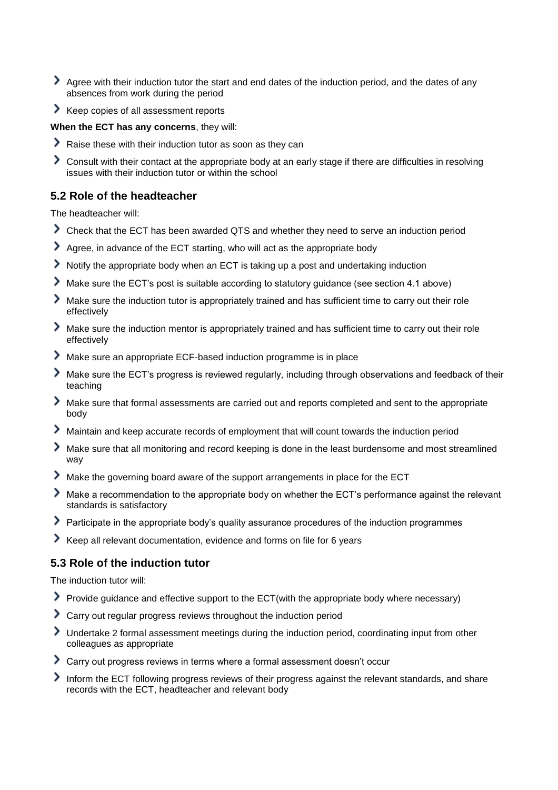- Agree with their induction tutor the start and end dates of the induction period, and the dates of any absences from work during the period
- Keep copies of all assessment reports

#### **When the ECT has any concerns**, they will:

- Raise these with their induction tutor as soon as they can
- Consult with their contact at the appropriate body at an early stage if there are difficulties in resolving issues with their induction tutor or within the school

#### **5.2 Role of the headteacher**

The headteacher will:

- Check that the ECT has been awarded QTS and whether they need to serve an induction period
- Agree, in advance of the ECT starting, who will act as the appropriate body
- Notify the appropriate body when an ECT is taking up a post and undertaking induction
- Make sure the ECT's post is suitable according to statutory guidance (see section 4.1 above)
- Make sure the induction tutor is appropriately trained and has sufficient time to carry out their role effectively
- Make sure the induction mentor is appropriately trained and has sufficient time to carry out their role effectively
- Make sure an appropriate ECF-based induction programme is in place
- Make sure the ECT's progress is reviewed regularly, including through observations and feedback of their teaching
- Make sure that formal assessments are carried out and reports completed and sent to the appropriate body
- Maintain and keep accurate records of employment that will count towards the induction period
- Make sure that all monitoring and record keeping is done in the least burdensome and most streamlined way
- Make the governing board aware of the support arrangements in place for the ECT
- Make a recommendation to the appropriate body on whether the ECT's performance against the relevant standards is satisfactory
- Participate in the appropriate body's quality assurance procedures of the induction programmes
- Keep all relevant documentation, evidence and forms on file for 6 years

#### **5.3 Role of the induction tutor**

The induction tutor will:

- Provide guidance and effective support to the ECT(with the appropriate body where necessary)
- Carry out regular progress reviews throughout the induction period
- Undertake 2 formal assessment meetings during the induction period, coordinating input from other colleagues as appropriate
- Carry out progress reviews in terms where a formal assessment doesn't occur
- Inform the ECT following progress reviews of their progress against the relevant standards, and share records with the ECT, headteacher and relevant body